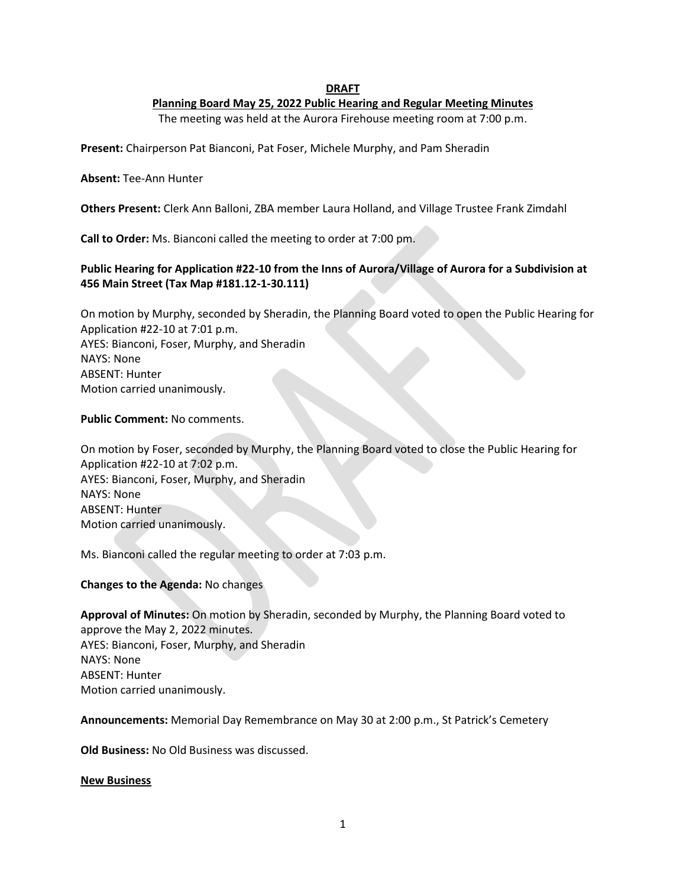## **DRAFT**

## **Planning Board May 25, 2022 Public Hearing and Regular Meeting Minutes**

The meeting was held at the Aurora Firehouse meeting room at 7:00 p.m.

**Present:** Chairperson Pat Bianconi, Pat Foser, Michele Murphy, and Pam Sheradin

### **Absent:** Tee-Ann Hunter

**Others Present:** Clerk Ann Balloni, ZBA member Laura Holland, and Village Trustee Frank Zimdahl

**Call to Order:** Ms. Bianconi called the meeting to order at 7:00 pm.

# **Public Hearing for Application #22-10 from the Inns of Aurora/Village of Aurora for a Subdivision at 456 Main Street (Tax Map #181.12-1-30.111)**

On motion by Murphy, seconded by Sheradin, the Planning Board voted to open the Public Hearing for Application #22-10 at 7:01 p.m. AYES: Bianconi, Foser, Murphy, and Sheradin NAYS: None ABSENT: Hunter Motion carried unanimously.

**Public Comment:** No comments.

On motion by Foser, seconded by Murphy, the Planning Board voted to close the Public Hearing for Application #22-10 at 7:02 p.m. AYES: Bianconi, Foser, Murphy, and Sheradin NAYS: None ABSENT: Hunter Motion carried unanimously.

Ms. Bianconi called the regular meeting to order at 7:03 p.m.

**Changes to the Agenda:** No changes

**Approval of Minutes:** On motion by Sheradin, seconded by Murphy, the Planning Board voted to approve the May 2, 2022 minutes. AYES: Bianconi, Foser, Murphy, and Sheradin NAYS: None ABSENT: Hunter Motion carried unanimously.

**Announcements:** Memorial Day Remembrance on May 30 at 2:00 p.m., St Patrick's Cemetery

**Old Business:** No Old Business was discussed.

### **New Business**